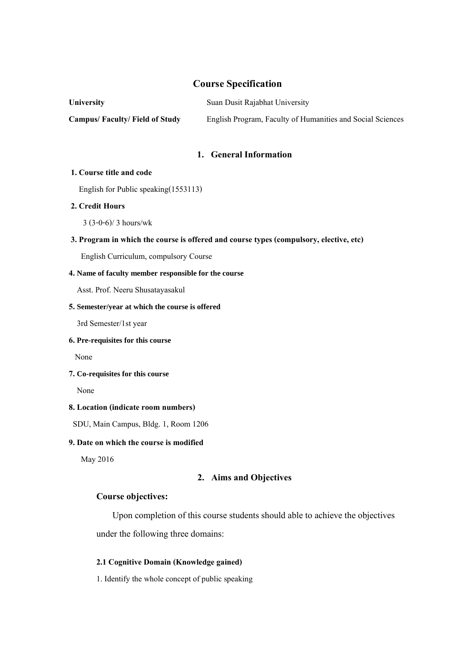# **Course Specification**

| <b>University</b>                    | Suan Dusit Rajabhat University                             |  |  |
|--------------------------------------|------------------------------------------------------------|--|--|
| <b>Campus/Faculty/Field of Study</b> | English Program, Faculty of Humanities and Social Sciences |  |  |

### **1. General Information**

#### **1. Course title and code**

English for Public speaking(1553113)

## **2. Credit Hours**

3 (3-0-6)/ 3 hours/wk

## **3. Program in which the course is offered and course types (compulsory, elective, etc)**

English Curriculum, compulsory Course

#### **4. Name of faculty member responsible for the course**

Asst. Prof. Neeru Shusatayasakul

#### **5. Semester/year at which the course is offered**

3rd Semester/1st year

## **6. Pre-requisites for this course**

None

#### **7. Co-requisites for this course**

None

## **8. Location(indicate room numbers)**

SDU, Main Campus, Bldg. 1, Room 1206

#### **9. Date on which the course is modified**

May 2016

## **2. Aims and Objectives**

#### **Course objectives:**

Upon completion of this course students should able to achieve the objectives under the following three domains:

# **2.1 Cognitive Domain (Knowledge gained)**

1. Identify the whole concept of public speaking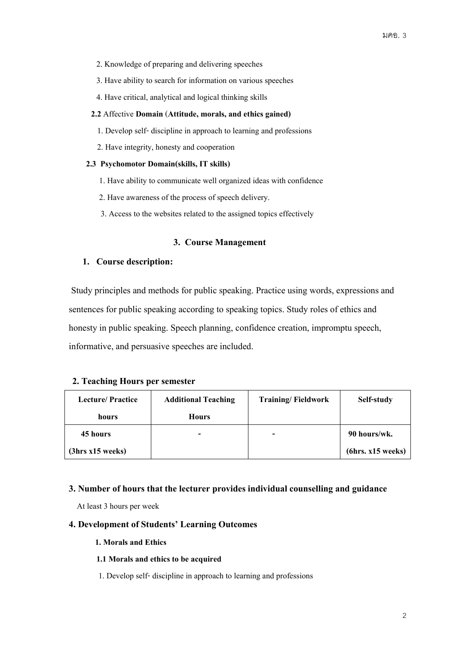- 2. Knowledge of preparing and delivering speeches
- 3. Have ability to search for information on various speeches
- 4. Have critical, analytical and logical thinking skills

#### **2.2** Affective **Domain**(**Attitude, morals, and ethics gained)**

- 1. Develop self- discipline in approach to learning and professions
- 2. Have integrity, honesty and cooperation

## **2.3 Psychomotor Domain(skills, IT skills)**

- 1. Have ability to communicate well organized ideas with confidence
- 2. Have awareness of the process of speech delivery.
- 3. Access to the websites related to the assigned topics effectively

## **3. Course Management**

## **1. Course description:**

Study principles and methods for public speaking. Practice using words, expressions and sentences for public speaking according to speaking topics. Study roles of ethics and honesty in public speaking. Speech planning, confidence creation, impromptu speech, informative, and persuasive speeches are included.

## **2. Teaching Hours per semester**

| <b>Lecture/Practice</b> | <b>Additional Teaching</b> | <b>Training/Fieldwork</b> | Self-study        |
|-------------------------|----------------------------|---------------------------|-------------------|
| hours                   | <b>Hours</b>               |                           |                   |
| 45 hours                | -                          | -                         | 90 hours/wk.      |
| (3hrs x15 weeks)        |                            |                           | (6hrs. x15 weeks) |

## **3. Number of hours that the lecturer provides individual counselling and guidance**

At least 3 hours per week

## **4. Development of Students' Learning Outcomes**

## **1. Moralsand Ethics**

## **1.1 Morals and ethics to be acquired**

1. Develop self- discipline in approach to learning and professions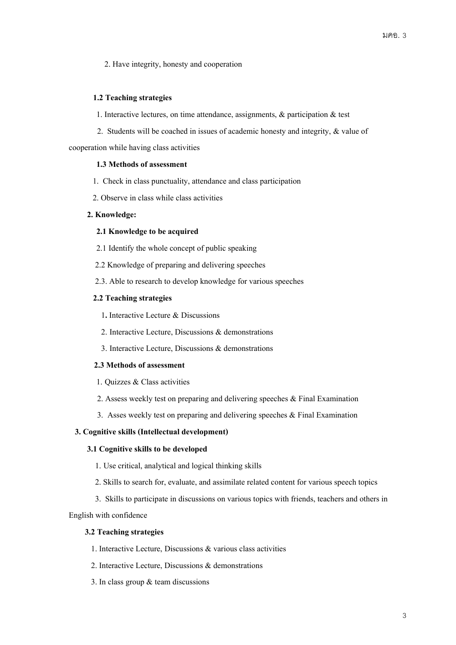2. Have integrity, honesty and cooperation

## **1.2 Teaching strategies**

- 1. Interactive lectures, on time attendance, assignments, & participation & test
- 2. Students will be coached in issues of academic honesty and integrity, & value of

cooperation while having class activities

#### **1.3 Methods of assessment**

- 1. Check in class punctuality, attendance and class participation
- 2. Observe in class while class activities

### **2. Knowledge:**

#### **2.1 Knowledge to be acquired**

- 2.1 Identify the whole concept of public speaking
- 2.2 Knowledge of preparing and delivering speeches
- 2.3. Able to research to develop knowledge for various speeches

### **2.2 Teaching strategies**

- 1**.** Interactive Lecture & Discussions
- 2. Interactive Lecture, Discussions & demonstrations
- 3. Interactive Lecture, Discussions & demonstrations

#### **2.3 Methods of assessment**

- 1. Quizzes & Class activities
- 2. Assess weekly test on preparing and delivering speeches & Final Examination
- 3. Asses weekly test on preparing and delivering speeches  $\&$  Final Examination

#### **3. Cognitive skills (Intellectual development)**

#### **3.1 Cognitive skills to be developed**

- 1. Use critical, analytical and logical thinking skills
- 2. Skills to search for, evaluate, and assimilate related content for various speech topics
- 3. Skills to participate in discussions on various topics with friends, teachers and others in

English with confidence

## **3.2 Teaching strategies**

- 1. Interactive Lecture, Discussions & various class activities
- 2. Interactive Lecture, Discussions & demonstrations
- 3. In class group & team discussions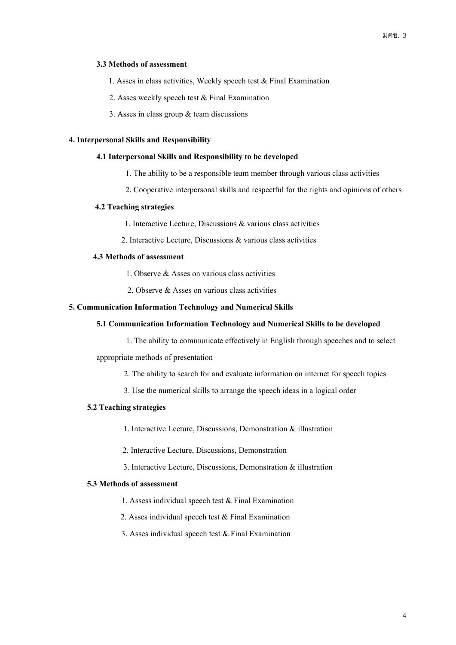#### **3.3 Methods of assessment**

1. Asses in class activities, Weekly speech test & Final Examination

- 2. Asses weekly speech test & Final Examination
- 3. Asses in class group & team discussions

#### **4. Interpersonal Skills and Responsibility**

#### **4.1 Interpersonal Skills and Responsibility to be developed**

- 1. The ability to be a responsible team member through various class activities
- 2. Cooperative interpersonal skills and respectful for the rights and opinions of others

### **4.2 Teaching strategies**

- 1. Interactive Lecture, Discussions & various class activities
- 2. Interactive Lecture, Discussions & various class activities

## **4.3 Methods of assessment**

- 1. Observe & Asses on various class activities
- 2. Observe & Asses on various class activities

### **5. CommunicationInformation Technology and Numerical Skills**

#### **5.1 Communication Information Technology and NumericalSkills to be developed**

1. The ability to communicate effectively in English through speeches and to select

appropriate methods of presentation

- 2. The ability to search for and evaluate information on internet for speech topics
- 3. Use the numerical skills to arrange the speech ideas in a logical order

### **5.2 Teaching strategies**

- 1. Interactive Lecture, Discussions, Demonstration & illustration
- 2. Interactive Lecture, Discussions, Demonstration
- 3. Interactive Lecture, Discussions, Demonstration & illustration

#### **5.3 Methods of assessment**

- 1. Assess individual speech test & Final Examination
- 2. Asses individual speech test & Final Examination
- 3. Asses individual speech test & Final Examination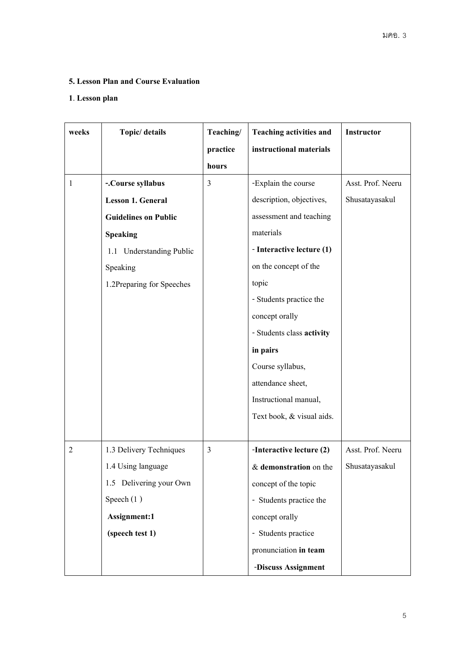# **5. Lesson Plan and Course Evaluation**

# **1**. **Lesson plan**

| weeks          | Topic/ details              | Teaching/ | <b>Teaching activities and</b> | Instructor        |
|----------------|-----------------------------|-----------|--------------------------------|-------------------|
|                |                             | practice  | instructional materials        |                   |
|                |                             | hours     |                                |                   |
| 1              | -.Course syllabus           | 3         | -Explain the course            | Asst. Prof. Neeru |
|                | <b>Lesson 1. General</b>    |           | description, objectives,       | Shusatayasakul    |
|                | <b>Guidelines on Public</b> |           | assessment and teaching        |                   |
|                | <b>Speaking</b>             |           | materials                      |                   |
|                | 1.1 Understanding Public    |           | - Interactive lecture (1)      |                   |
|                | Speaking                    |           | on the concept of the          |                   |
|                | 1.2Preparing for Speeches   |           | topic                          |                   |
|                |                             |           | - Students practice the        |                   |
|                |                             |           | concept orally                 |                   |
|                |                             |           | - Students class activity      |                   |
|                |                             |           | in pairs                       |                   |
|                |                             |           | Course syllabus,               |                   |
|                |                             |           | attendance sheet,              |                   |
|                |                             |           | Instructional manual,          |                   |
|                |                             |           | Text book, & visual aids.      |                   |
|                |                             |           |                                |                   |
| $\overline{2}$ | 1.3 Delivery Techniques     | 3         | -Interactive lecture (2)       | Asst. Prof. Neeru |
|                | 1.4 Using language          |           | & demonstration on the         | Shusatayasakul    |
|                | 1.5 Delivering your Own     |           | concept of the topic           |                   |
|                | Speech $(1)$                |           | - Students practice the        |                   |
|                | Assignment:1                |           | concept orally                 |                   |
|                | (speech test 1)             |           | - Students practice            |                   |
|                |                             |           | pronunciation in team          |                   |
|                |                             |           | -Discuss Assignment            |                   |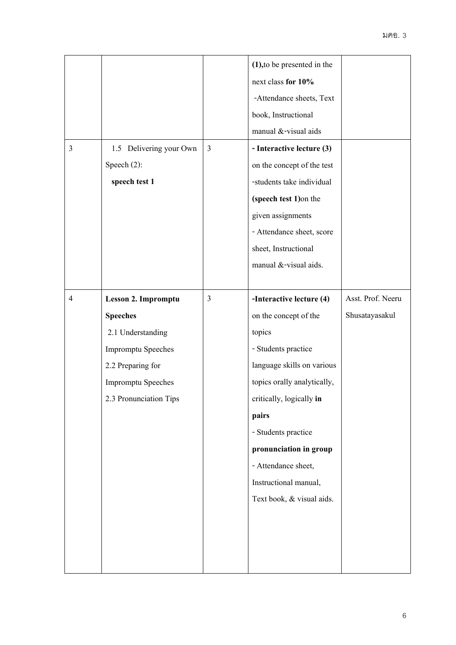|                |                           |                | $(1)$ , to be presented in the |                   |
|----------------|---------------------------|----------------|--------------------------------|-------------------|
|                |                           |                | next class for 10%             |                   |
|                |                           |                | -Attendance sheets, Text       |                   |
|                |                           |                | book, Instructional            |                   |
|                |                           |                | manual &-visual aids           |                   |
| $\overline{3}$ | 1.5 Delivering your Own   | $\overline{3}$ | - Interactive lecture (3)      |                   |
|                | Speech (2):               |                | on the concept of the test     |                   |
|                | speech test 1             |                | -students take individual      |                   |
|                |                           |                | (speech test 1) on the         |                   |
|                |                           |                | given assignments              |                   |
|                |                           |                | - Attendance sheet, score      |                   |
|                |                           |                | sheet, Instructional           |                   |
|                |                           |                | manual &-visual aids.          |                   |
|                |                           |                |                                |                   |
| $\overline{4}$ | Lesson 2. Impromptu       | 3              | -Interactive lecture (4)       | Asst. Prof. Neeru |
|                | <b>Speeches</b>           |                | on the concept of the          | Shusatayasakul    |
|                | 2.1 Understanding         |                | topics                         |                   |
|                | <b>Impromptu Speeches</b> |                | - Students practice            |                   |
|                | 2.2 Preparing for         |                | language skills on various     |                   |
|                | <b>Impromptu Speeches</b> |                | topics orally analytically,    |                   |
|                | 2.3 Pronunciation Tips    |                | critically, logically in       |                   |
|                |                           |                | pairs                          |                   |
|                |                           |                | - Students practice            |                   |
|                |                           |                | pronunciation in group         |                   |
|                |                           |                |                                |                   |
|                |                           |                | - Attendance sheet,            |                   |
|                |                           |                | Instructional manual,          |                   |
|                |                           |                | Text book, & visual aids.      |                   |
|                |                           |                |                                |                   |
|                |                           |                |                                |                   |
|                |                           |                |                                |                   |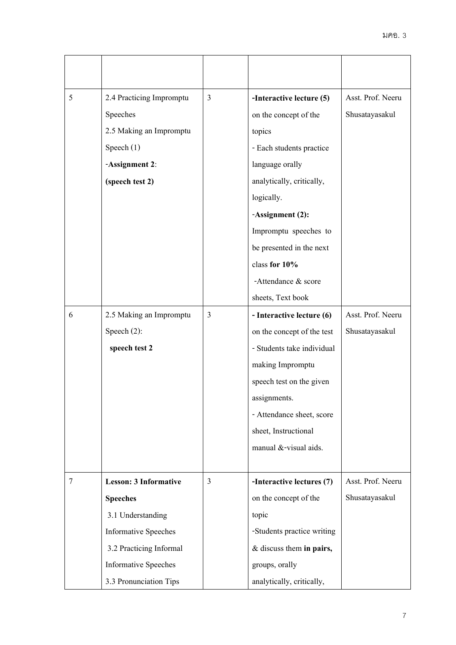| 5      | 2.4 Practicing Impromptu     | 3              | -Interactive lecture (5)   | Asst. Prof. Neeru |
|--------|------------------------------|----------------|----------------------------|-------------------|
|        | Speeches                     |                | on the concept of the      | Shusatayasakul    |
|        | 2.5 Making an Impromptu      |                | topics                     |                   |
|        | Speech $(1)$                 |                | - Each students practice   |                   |
|        | -Assignment 2:               |                | language orally            |                   |
|        | (speech test 2)              |                | analytically, critically,  |                   |
|        |                              |                | logically.                 |                   |
|        |                              |                | -Assignment (2):           |                   |
|        |                              |                | Impromptu speeches to      |                   |
|        |                              |                | be presented in the next   |                   |
|        |                              |                | class for 10%              |                   |
|        |                              |                | -Attendance & score        |                   |
|        |                              |                | sheets, Text book          |                   |
| 6      | 2.5 Making an Impromptu      | 3              | - Interactive lecture (6)  | Asst. Prof. Neeru |
|        | Speech $(2)$ :               |                | on the concept of the test | Shusatayasakul    |
|        | speech test 2                |                | - Students take individual |                   |
|        |                              |                | making Impromptu           |                   |
|        |                              |                | speech test on the given   |                   |
|        |                              |                | assignments.               |                   |
|        |                              |                | - Attendance sheet, score  |                   |
|        |                              |                | sheet, Instructional       |                   |
|        |                              |                | manual &-visual aids.      |                   |
|        |                              |                |                            |                   |
| $\tau$ | <b>Lesson: 3 Informative</b> | $\overline{3}$ | -Interactive lectures (7)  | Asst. Prof. Neeru |
|        | <b>Speeches</b>              |                | on the concept of the      | Shusatayasakul    |
|        | 3.1 Understanding            |                | topic                      |                   |
|        | <b>Informative Speeches</b>  |                | -Students practice writing |                   |
|        | 3.2 Practicing Informal      |                | & discuss them in pairs,   |                   |
|        | <b>Informative Speeches</b>  |                | groups, orally             |                   |
|        | 3.3 Pronunciation Tips       |                | analytically, critically,  |                   |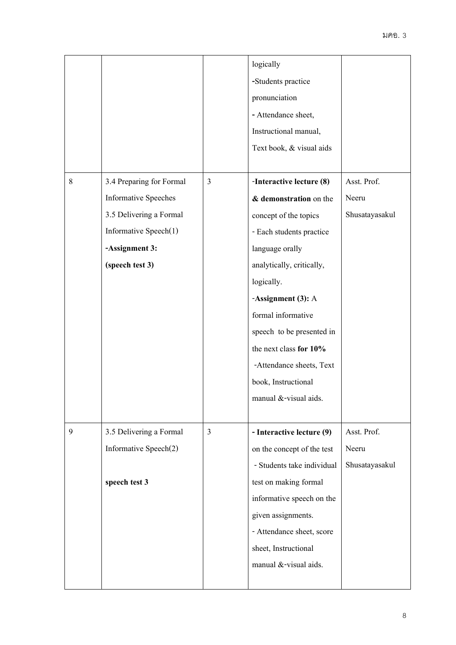|   |                             |   | logically                  |                |
|---|-----------------------------|---|----------------------------|----------------|
|   |                             |   | -Students practice         |                |
|   |                             |   | pronunciation              |                |
|   |                             |   | - Attendance sheet,        |                |
|   |                             |   | Instructional manual,      |                |
|   |                             |   | Text book, & visual aids   |                |
|   |                             |   |                            |                |
| 8 | 3.4 Preparing for Formal    | 3 | -Interactive lecture (8)   | Asst. Prof.    |
|   | <b>Informative Speeches</b> |   | & demonstration on the     | Neeru          |
|   | 3.5 Delivering a Formal     |   | concept of the topics      | Shusatayasakul |
|   | Informative Speech(1)       |   | - Each students practice   |                |
|   | -Assignment 3:              |   | language orally            |                |
|   | (speech test 3)             |   | analytically, critically,  |                |
|   |                             |   | logically.                 |                |
|   |                             |   | -Assignment (3): A         |                |
|   |                             |   | formal informative         |                |
|   |                             |   | speech to be presented in  |                |
|   |                             |   | the next class for 10%     |                |
|   |                             |   | -Attendance sheets, Text   |                |
|   |                             |   | book, Instructional        |                |
|   |                             |   | manual &-visual aids.      |                |
|   |                             |   |                            |                |
| 9 | 3.5 Delivering a Formal     | 3 | - Interactive lecture (9)  | Asst. Prof.    |
|   | Informative Speech(2)       |   | on the concept of the test | Neeru          |
|   |                             |   | - Students take individual | Shusatayasakul |
|   | speech test 3               |   | test on making formal      |                |
|   |                             |   | informative speech on the  |                |
|   |                             |   | given assignments.         |                |
|   |                             |   | - Attendance sheet, score  |                |
|   |                             |   | sheet, Instructional       |                |
|   |                             |   | manual &-visual aids.      |                |
|   |                             |   |                            |                |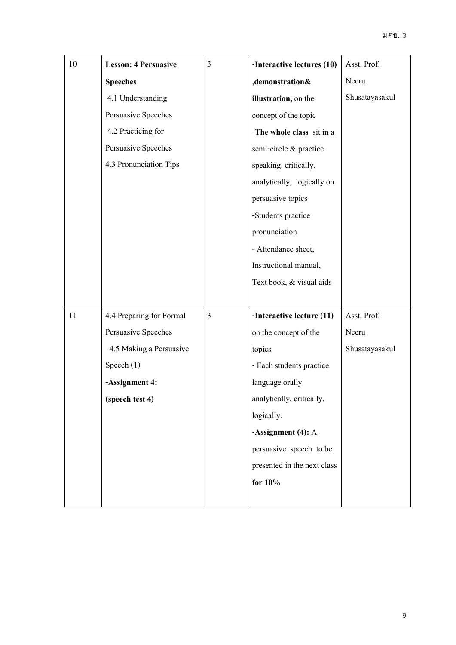| 10 | <b>Lesson: 4 Persuasive</b> | $\mathfrak{Z}$ | -Interactive lectures (10)  | Asst. Prof.    |
|----|-----------------------------|----------------|-----------------------------|----------------|
|    | <b>Speeches</b>             |                | ,demonstration&             | Neeru          |
|    | 4.1 Understanding           |                | illustration, on the        | Shusatayasakul |
|    | Persuasive Speeches         |                | concept of the topic        |                |
|    | 4.2 Practicing for          |                | -The whole class sit in a   |                |
|    | Persuasive Speeches         |                | semi-circle & practice      |                |
|    | 4.3 Pronunciation Tips      |                | speaking critically,        |                |
|    |                             |                | analytically, logically on  |                |
|    |                             |                | persuasive topics           |                |
|    |                             |                | -Students practice          |                |
|    |                             |                | pronunciation               |                |
|    |                             |                | - Attendance sheet,         |                |
|    |                             |                | Instructional manual,       |                |
|    |                             |                | Text book, & visual aids    |                |
|    |                             |                |                             |                |
| 11 | 4.4 Preparing for Formal    | 3              | -Interactive lecture (11)   | Asst. Prof.    |
|    | Persuasive Speeches         |                | on the concept of the       | Neeru          |
|    | 4.5 Making a Persuasive     |                | topics                      | Shusatayasakul |
|    | Speech (1)                  |                | - Each students practice    |                |
|    | -Assignment 4:              |                | language orally             |                |
|    | (speech test 4)             |                | analytically, critically,   |                |
|    |                             |                | logically.                  |                |
|    |                             |                | -Assignment (4): A          |                |
|    |                             |                | persuasive speech to be     |                |
|    |                             |                | presented in the next class |                |
|    |                             |                | for $10\%$                  |                |
|    |                             |                |                             |                |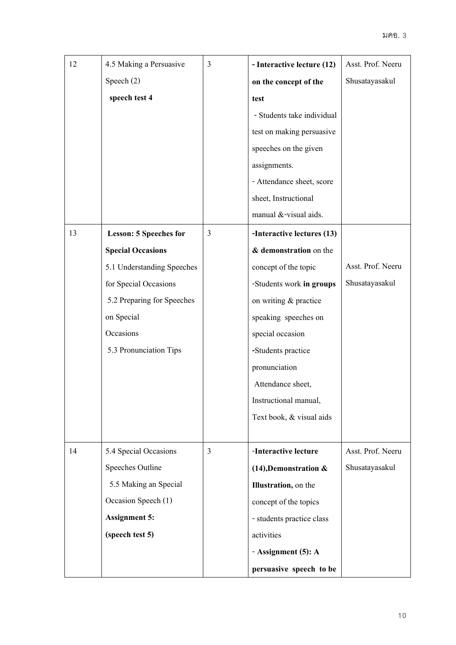| 12 | 4.5 Making a Persuasive       | 3 | - Interactive lecture (12)   | Asst. Prof. Neeru |
|----|-------------------------------|---|------------------------------|-------------------|
|    | Speech (2)                    |   | on the concept of the        | Shusatayasakul    |
|    | speech test 4                 |   | test                         |                   |
|    |                               |   | - Students take individual   |                   |
|    |                               |   | test on making persuasive    |                   |
|    |                               |   | speeches on the given        |                   |
|    |                               |   | assignments.                 |                   |
|    |                               |   | - Attendance sheet, score    |                   |
|    |                               |   | sheet, Instructional         |                   |
|    |                               |   | manual &-visual aids.        |                   |
| 13 | <b>Lesson: 5 Speeches for</b> | 3 | -Interactive lectures (13)   |                   |
|    | <b>Special Occasions</b>      |   | & demonstration on the       |                   |
|    | 5.1 Understanding Speeches    |   | concept of the topic         | Asst. Prof. Neeru |
|    | for Special Occasions         |   | -Students work in groups     | Shusatayasakul    |
|    | 5.2 Preparing for Speeches    |   | on writing & practice        |                   |
|    | on Special                    |   | speaking speeches on         |                   |
|    | Occasions                     |   | special occasion             |                   |
|    | 5.3 Pronunciation Tips        |   | -Students practice           |                   |
|    |                               |   | pronunciation                |                   |
|    |                               |   | Attendance sheet,            |                   |
|    |                               |   | Instructional manual,        |                   |
|    |                               |   | Text book, & visual aids     |                   |
|    |                               |   |                              |                   |
| 14 | 5.4 Special Occasions         | 3 | -Interactive lecture         | Asst. Prof. Neeru |
|    | Speeches Outline              |   | $(14)$ , Demonstration &     | Shusatayasakul    |
|    | 5.5 Making an Special         |   | <b>Illustration</b> , on the |                   |
|    | Occasion Speech (1)           |   | concept of the topics        |                   |
|    | <b>Assignment 5:</b>          |   | - students practice class    |                   |
|    | (speech test 5)               |   | activities                   |                   |
|    |                               |   | - Assignment (5): A          |                   |
|    |                               |   | persuasive speech to be      |                   |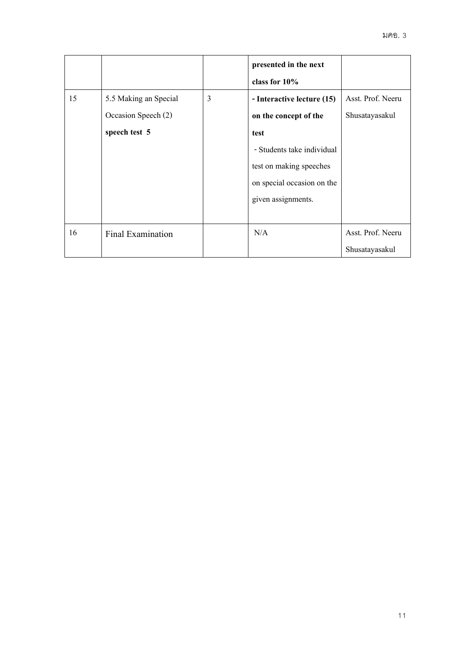|    |                                                               |   | presented in the next<br>class for $10\%$                                                                                                                                |                                     |
|----|---------------------------------------------------------------|---|--------------------------------------------------------------------------------------------------------------------------------------------------------------------------|-------------------------------------|
| 15 | 5.5 Making an Special<br>Occasion Speech (2)<br>speech test 5 | 3 | - Interactive lecture (15)<br>on the concept of the<br>test<br>- Students take individual<br>test on making speeches<br>on special occasion on the<br>given assignments. | Asst. Prof. Neeru<br>Shusatayasakul |
| 16 | Final Examination                                             |   | N/A                                                                                                                                                                      | Asst. Prof. Neeru<br>Shusatayasakul |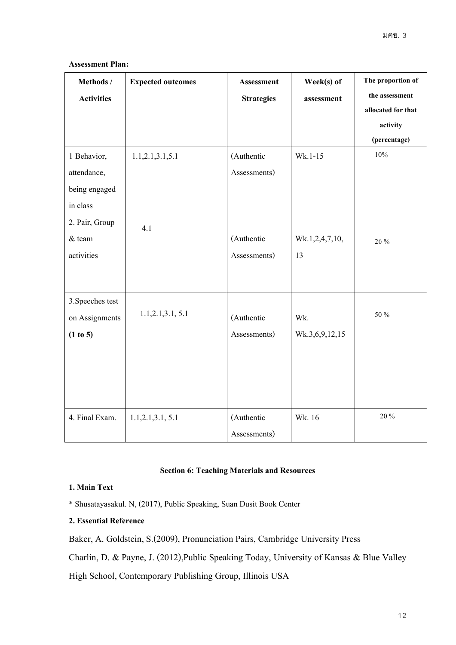| Methods /<br><b>Activities</b>                          | <b>Expected outcomes</b> | <b>Assessment</b><br><b>Strategies</b> | Week(s) of<br>assessment | The proportion of<br>the assessment<br>allocated for that<br>activity<br>(percentage) |
|---------------------------------------------------------|--------------------------|----------------------------------------|--------------------------|---------------------------------------------------------------------------------------|
| 1 Behavior,<br>attendance,<br>being engaged<br>in class | 1.1, 2.1, 3.1, 5.1       | (Authentic<br>Assessments)             | $Wk.1-15$                | $10\%$                                                                                |
| 2. Pair, Group<br>$&$ team<br>activities                | 4.1                      | (Authentic<br>Assessments)             | Wk.1,2,4,7,10,<br>13     | 20%                                                                                   |
| 3. Speeches test<br>on Assignments<br>(1 to 5)          | 1.1, 2.1, 3.1, 5.1       | (Authentic<br>Assessments)             | Wk.<br>Wk.3,6,9,12,15    | 50 %                                                                                  |
| 4. Final Exam.                                          | 1.1, 2.1, 3.1, 5.1       | (Authentic<br>Assessments)             | Wk. 16                   | 20 %                                                                                  |

## **Assessment Plan:**

## **Section 6: Teaching Materials and Resources**

# **1. Main Text**

\*Shusatayasakul. N, (2017), Public Speaking, Suan Dusit Book Center

# **2. Essential Reference**

Baker, A. Goldstein, S.(2009), Pronunciation Pairs, Cambridge University Press

Charlin, D. & Payne, J. (2012),Public Speaking Today, University of Kansas & Blue Valley

High School, Contemporary Publishing Group, Illinois USA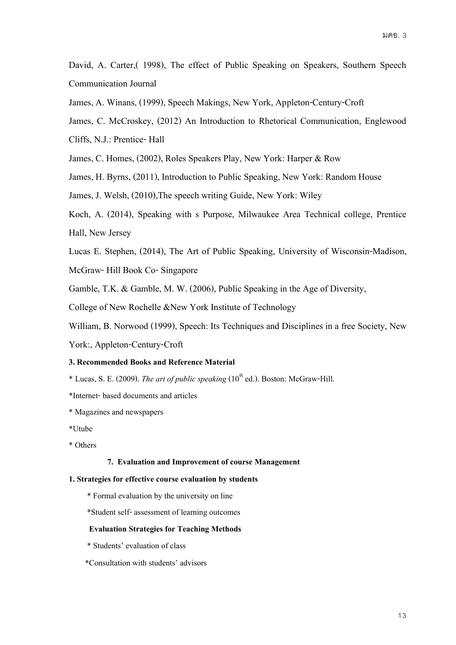David, A. Carter,( 1998), The effect of Public Speaking on Speakers, Southern Speech Communication Journal

James, A. Winans, (1999), Speech Makings, New York, Appleton-Century-Croft

James, C. McCroskey, (2012) An Introduction to Rhetorical Communication, Englewood

Cliffs, N.J.: Prentice- Hall

James, C. Homes, (2002), Roles Speakers Play, New York: Harper & Row

James, H. Byrns, (2011), Introduction to Public Speaking, New York: Random House

James, J. Welsh, (2010),The speech writing Guide, New York: Wiley

Koch, A. (2014), Speaking with s Purpose, Milwaukee Area Technical college, Prentice Hall, New Jersey

Lucas E. Stephen, (2014), The Art of Public Speaking, University of Wisconsin-Madison,

McGraw- Hill Book Co-Singapore

Gamble, T.K. & Gamble, M. W. (2006), Public Speaking in the Age of Diversity,

College of New Rochelle &New York Institute of Technology

William, B. Norwood (1999), Speech: Its Techniques and Disciplines in a free Society, New

York:, Appleton-Century-Croft

## **3. Recommended Books and Reference Material**

\* Lucas, S. E. (2009). *The art of public speaking* (10<sup>th</sup> ed.). Boston: McGraw-Hill.

\*Internet-based documents and articles

\* Magazines and newspapers

\*Utube

\* Others

#### **7. Evaluation and Improvement of course Management**

#### **1. Strategies for effective course evaluation by students**

\* Formal evaluation by the university on line

\*Student self- assessment of learning outcomes

#### **EvaluationStrategies for Teaching Methods**

\* Students' evaluation of class

 **\***Consultation with students' advisors